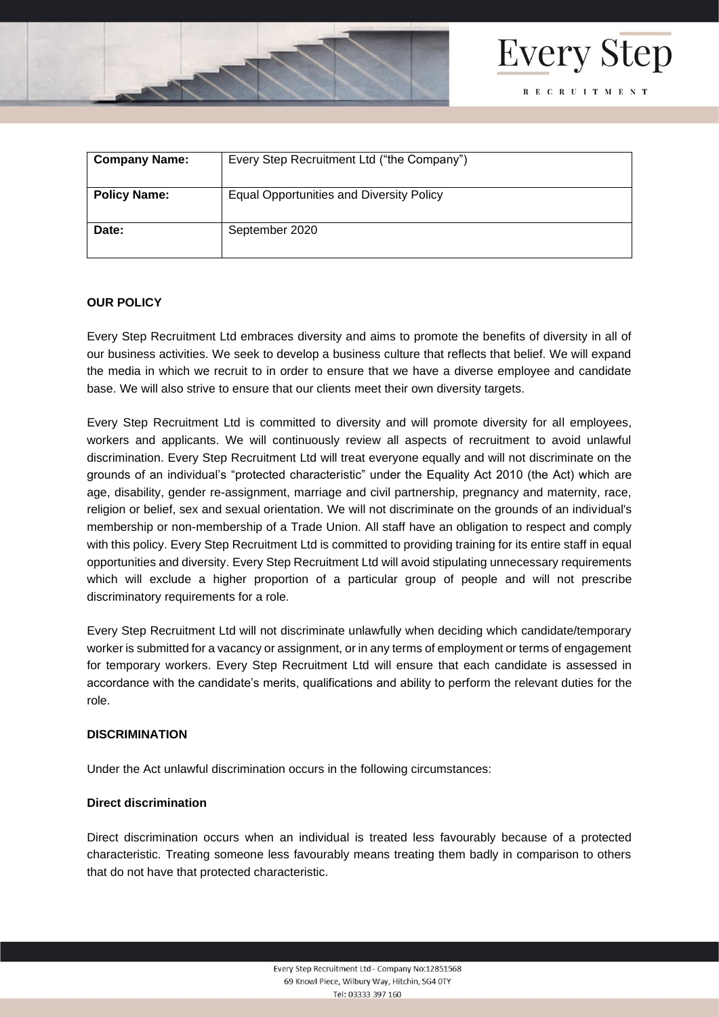



| <b>Company Name:</b> | Every Step Recruitment Ltd ("the Company")      |
|----------------------|-------------------------------------------------|
| <b>Policy Name:</b>  | <b>Equal Opportunities and Diversity Policy</b> |
| Date:                | September 2020                                  |

### **OUR POLICY**

Every Step Recruitment Ltd embraces diversity and aims to promote the benefits of diversity in all of our business activities. We seek to develop a business culture that reflects that belief. We will expand the media in which we recruit to in order to ensure that we have a diverse employee and candidate base. We will also strive to ensure that our clients meet their own diversity targets.

Every Step Recruitment Ltd is committed to diversity and will promote diversity for all employees, workers and applicants. We will continuously review all aspects of recruitment to avoid unlawful discrimination. Every Step Recruitment Ltd will treat everyone equally and will not discriminate on the grounds of an individual's "protected characteristic" under the Equality Act 2010 (the Act) which are age, disability, gender re-assignment, marriage and civil partnership, pregnancy and maternity, race, religion or belief, sex and sexual orientation. We will not discriminate on the grounds of an individual's membership or non-membership of a Trade Union. All staff have an obligation to respect and comply with this policy. Every Step Recruitment Ltd is committed to providing training for its entire staff in equal opportunities and diversity. Every Step Recruitment Ltd will avoid stipulating unnecessary requirements which will exclude a higher proportion of a particular group of people and will not prescribe discriminatory requirements for a role.

Every Step Recruitment Ltd will not discriminate unlawfully when deciding which candidate/temporary worker is submitted for a vacancy or assignment, or in any terms of employment or terms of engagement for temporary workers. Every Step Recruitment Ltd will ensure that each candidate is assessed in accordance with the candidate's merits, qualifications and ability to perform the relevant duties for the role.

#### **DISCRIMINATION**

Under the Act unlawful discrimination occurs in the following circumstances:

#### **Direct discrimination**

Direct discrimination occurs when an individual is treated less favourably because of a protected characteristic. Treating someone less favourably means treating them badly in comparison to others that do not have that protected characteristic.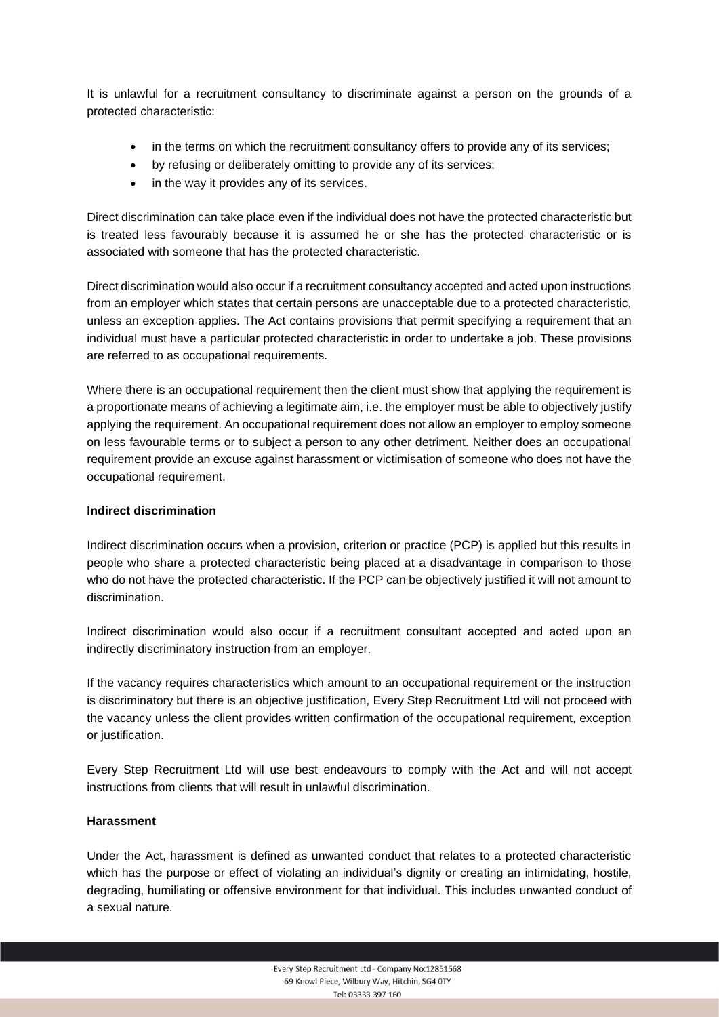It is unlawful for a recruitment consultancy to discriminate against a person on the grounds of a protected characteristic:

- in the terms on which the recruitment consultancy offers to provide any of its services;
- by refusing or deliberately omitting to provide any of its services;
- in the way it provides any of its services.

Direct discrimination can take place even if the individual does not have the protected characteristic but is treated less favourably because it is assumed he or she has the protected characteristic or is associated with someone that has the protected characteristic.

Direct discrimination would also occur if a recruitment consultancy accepted and acted upon instructions from an employer which states that certain persons are unacceptable due to a protected characteristic, unless an exception applies. The Act contains provisions that permit specifying a requirement that an individual must have a particular protected characteristic in order to undertake a job. These provisions are referred to as occupational requirements.

Where there is an occupational requirement then the client must show that applying the requirement is a proportionate means of achieving a legitimate aim, i.e. the employer must be able to objectively justify applying the requirement. An occupational requirement does not allow an employer to employ someone on less favourable terms or to subject a person to any other detriment. Neither does an occupational requirement provide an excuse against harassment or victimisation of someone who does not have the occupational requirement.

## **Indirect discrimination**

Indirect discrimination occurs when a provision, criterion or practice (PCP) is applied but this results in people who share a protected characteristic being placed at a disadvantage in comparison to those who do not have the protected characteristic. If the PCP can be objectively justified it will not amount to discrimination.

Indirect discrimination would also occur if a recruitment consultant accepted and acted upon an indirectly discriminatory instruction from an employer.

If the vacancy requires characteristics which amount to an occupational requirement or the instruction is discriminatory but there is an objective justification, Every Step Recruitment Ltd will not proceed with the vacancy unless the client provides written confirmation of the occupational requirement, exception or justification.

Every Step Recruitment Ltd will use best endeavours to comply with the Act and will not accept instructions from clients that will result in unlawful discrimination.

## **Harassment**

Under the Act, harassment is defined as unwanted conduct that relates to a protected characteristic which has the purpose or effect of violating an individual's dignity or creating an intimidating, hostile, degrading, humiliating or offensive environment for that individual. This includes unwanted conduct of a sexual nature.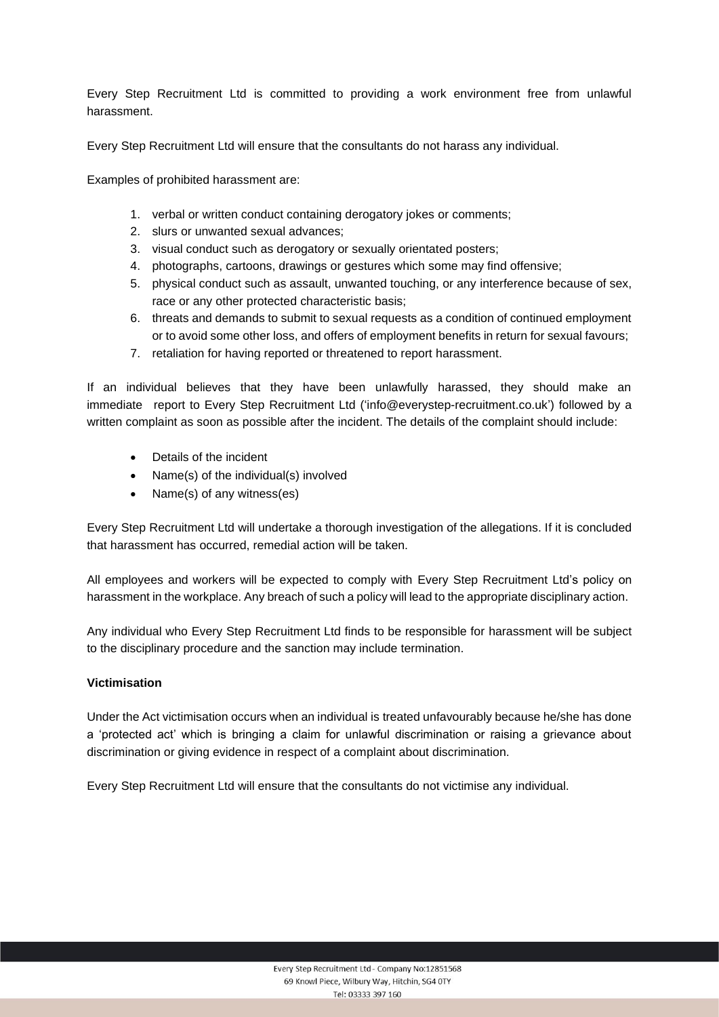Every Step Recruitment Ltd is committed to providing a work environment free from unlawful harassment.

Every Step Recruitment Ltd will ensure that the consultants do not harass any individual.

Examples of prohibited harassment are:

- 1. verbal or written conduct containing derogatory jokes or comments;
- 2. slurs or unwanted sexual advances;
- 3. visual conduct such as derogatory or sexually orientated posters;
- 4. photographs, cartoons, drawings or gestures which some may find offensive;
- 5. physical conduct such as assault, unwanted touching, or any interference because of sex, race or any other protected characteristic basis;
- 6. threats and demands to submit to sexual requests as a condition of continued employment or to avoid some other loss, and offers of employment benefits in return for sexual favours;
- 7. retaliation for having reported or threatened to report harassment.

If an individual believes that they have been unlawfully harassed, they should make an immediate report to Every Step Recruitment Ltd ('info@everystep-recruitment.co.uk') followed by a written complaint as soon as possible after the incident. The details of the complaint should include:

- Details of the incident
- Name(s) of the individual(s) involved
- Name(s) of any witness(es)

Every Step Recruitment Ltd will undertake a thorough investigation of the allegations. If it is concluded that harassment has occurred, remedial action will be taken.

All employees and workers will be expected to comply with Every Step Recruitment Ltd's policy on harassment in the workplace. Any breach of such a policy will lead to the appropriate disciplinary action.

Any individual who Every Step Recruitment Ltd finds to be responsible for harassment will be subject to the disciplinary procedure and the sanction may include termination.

## **Victimisation**

Under the Act victimisation occurs when an individual is treated unfavourably because he/she has done a 'protected act' which is bringing a claim for unlawful discrimination or raising a grievance about discrimination or giving evidence in respect of a complaint about discrimination.

Every Step Recruitment Ltd will ensure that the consultants do not victimise any individual.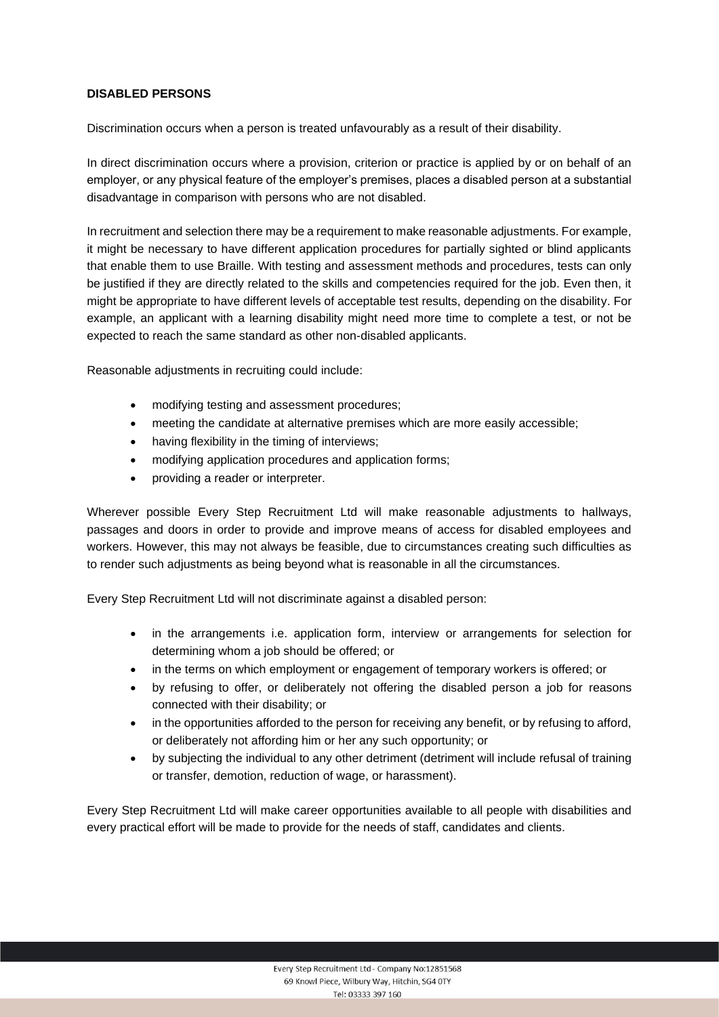# **DISABLED PERSONS**

Discrimination occurs when a person is treated unfavourably as a result of their disability.

In direct discrimination occurs where a provision, criterion or practice is applied by or on behalf of an employer, or any physical feature of the employer's premises, places a disabled person at a substantial disadvantage in comparison with persons who are not disabled.

In recruitment and selection there may be a requirement to make reasonable adjustments. For example, it might be necessary to have different application procedures for partially sighted or blind applicants that enable them to use Braille. With testing and assessment methods and procedures, tests can only be justified if they are directly related to the skills and competencies required for the job. Even then, it might be appropriate to have different levels of acceptable test results, depending on the disability. For example, an applicant with a learning disability might need more time to complete a test, or not be expected to reach the same standard as other non-disabled applicants.

Reasonable adjustments in recruiting could include:

- modifying testing and assessment procedures;
- meeting the candidate at alternative premises which are more easily accessible;
- having flexibility in the timing of interviews:
- modifying application procedures and application forms;
- providing a reader or interpreter.

Wherever possible Every Step Recruitment Ltd will make reasonable adjustments to hallways, passages and doors in order to provide and improve means of access for disabled employees and workers. However, this may not always be feasible, due to circumstances creating such difficulties as to render such adjustments as being beyond what is reasonable in all the circumstances.

Every Step Recruitment Ltd will not discriminate against a disabled person:

- in the arrangements i.e. application form, interview or arrangements for selection for determining whom a job should be offered; or
- in the terms on which employment or engagement of temporary workers is offered; or
- by refusing to offer, or deliberately not offering the disabled person a job for reasons connected with their disability; or
- in the opportunities afforded to the person for receiving any benefit, or by refusing to afford, or deliberately not affording him or her any such opportunity; or
- by subjecting the individual to any other detriment (detriment will include refusal of training or transfer, demotion, reduction of wage, or harassment).

Every Step Recruitment Ltd will make career opportunities available to all people with disabilities and every practical effort will be made to provide for the needs of staff, candidates and clients.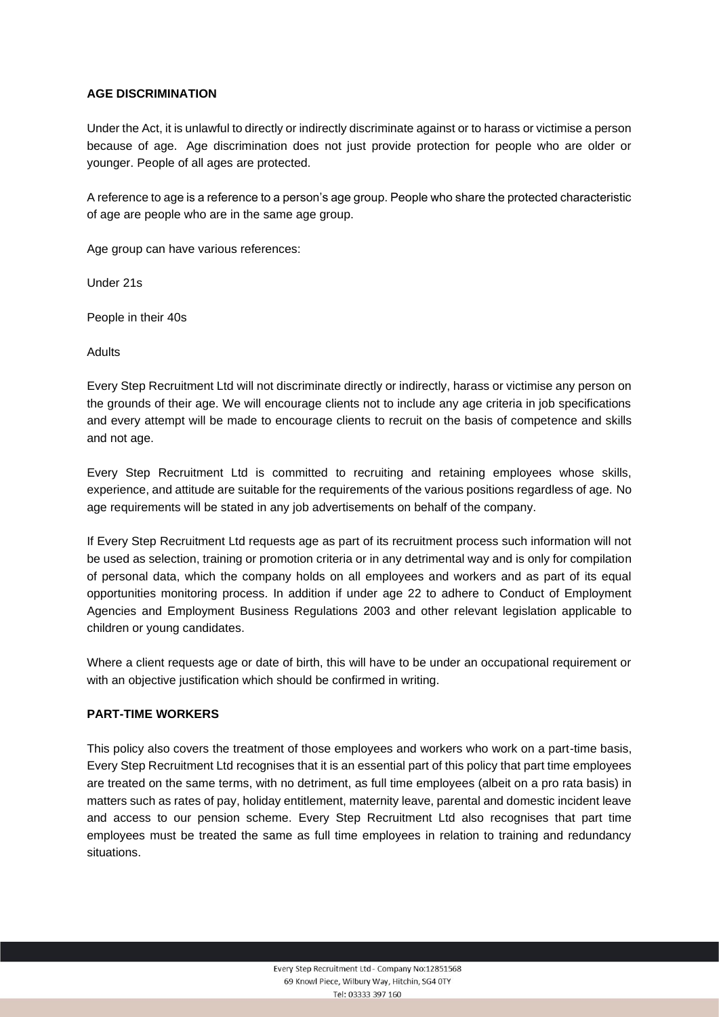## **AGE DISCRIMINATION**

Under the Act, it is unlawful to directly or indirectly discriminate against or to harass or victimise a person because of age. Age discrimination does not just provide protection for people who are older or younger. People of all ages are protected.

A reference to age is a reference to a person's age group. People who share the protected characteristic of age are people who are in the same age group.

Age group can have various references:

Under 21s

People in their 40s

Adults

Every Step Recruitment Ltd will not discriminate directly or indirectly, harass or victimise any person on the grounds of their age. We will encourage clients not to include any age criteria in job specifications and every attempt will be made to encourage clients to recruit on the basis of competence and skills and not age.

Every Step Recruitment Ltd is committed to recruiting and retaining employees whose skills, experience, and attitude are suitable for the requirements of the various positions regardless of age. No age requirements will be stated in any job advertisements on behalf of the company.

If Every Step Recruitment Ltd requests age as part of its recruitment process such information will not be used as selection, training or promotion criteria or in any detrimental way and is only for compilation of personal data, which the company holds on all employees and workers and as part of its equal opportunities monitoring process. In addition if under age 22 to adhere to Conduct of Employment Agencies and Employment Business Regulations 2003 and other relevant legislation applicable to children or young candidates.

Where a client requests age or date of birth, this will have to be under an occupational requirement or with an objective justification which should be confirmed in writing.

## **PART-TIME WORKERS**

This policy also covers the treatment of those employees and workers who work on a part-time basis, Every Step Recruitment Ltd recognises that it is an essential part of this policy that part time employees are treated on the same terms, with no detriment, as full time employees (albeit on a pro rata basis) in matters such as rates of pay, holiday entitlement, maternity leave, parental and domestic incident leave and access to our pension scheme. Every Step Recruitment Ltd also recognises that part time employees must be treated the same as full time employees in relation to training and redundancy situations.